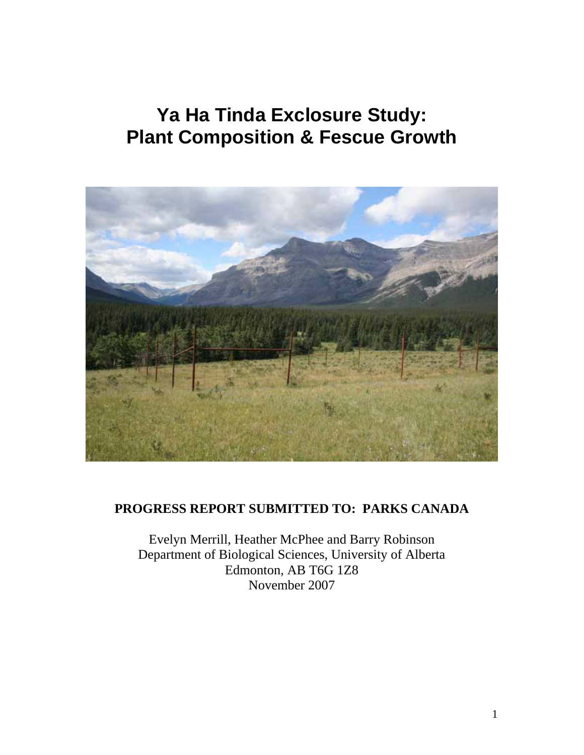# **Ya Ha Tinda Exclosure Study: Plant Composition & Fescue Growth**



# **PROGRESS REPORT SUBMITTED TO: PARKS CANADA**

Evelyn Merrill, Heather McPhee and Barry Robinson Department of Biological Sciences, University of Alberta Edmonton, AB T6G 1Z8 November 2007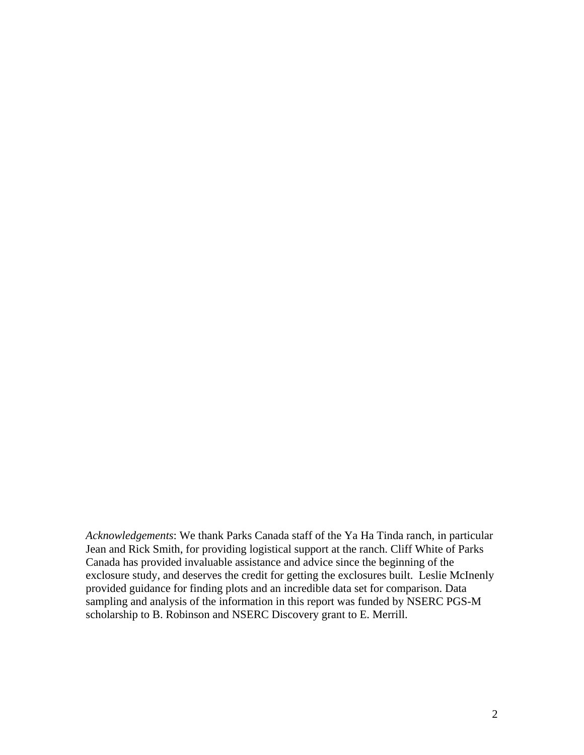*Acknowledgements*: We thank Parks Canada staff of the Ya Ha Tinda ranch, in particular Jean and Rick Smith, for providing logistical support at the ranch. Cliff White of Parks Canada has provided invaluable assistance and advice since the beginning of the exclosure study, and deserves the credit for getting the exclosures built. Leslie McInenly provided guidance for finding plots and an incredible data set for comparison. Data sampling and analysis of the information in this report was funded by NSERC PGS-M scholarship to B. Robinson and NSERC Discovery grant to E. Merrill.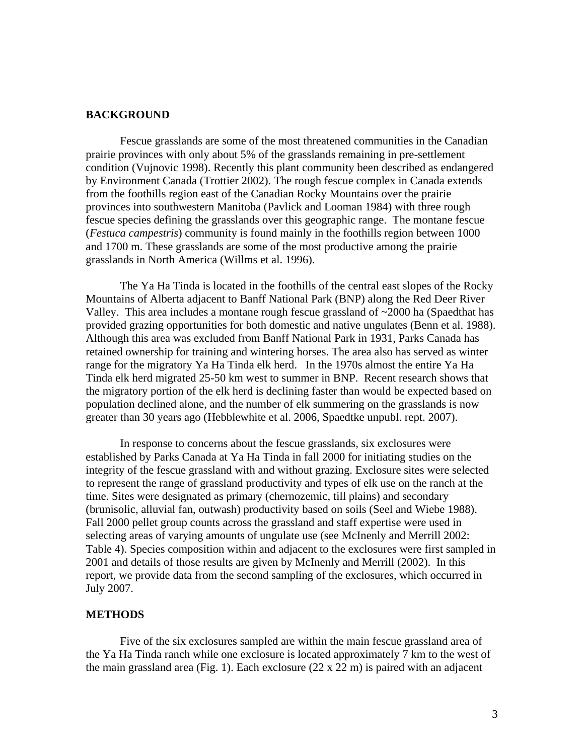#### **BACKGROUND**

Fescue grasslands are some of the most threatened communities in the Canadian prairie provinces with only about 5% of the grasslands remaining in pre-settlement condition (Vujnovic 1998). Recently this plant community been described as endangered by Environment Canada (Trottier 2002). The rough fescue complex in Canada extends from the foothills region east of the Canadian Rocky Mountains over the prairie provinces into southwestern Manitoba (Pavlick and Looman 1984) with three rough fescue species defining the grasslands over this geographic range. The montane fescue (*Festuca campestris*) community is found mainly in the foothills region between 1000 and 1700 m. These grasslands are some of the most productive among the prairie grasslands in North America (Willms et al. 1996).

 The Ya Ha Tinda is located in the foothills of the central east slopes of the Rocky Mountains of Alberta adjacent to Banff National Park (BNP) along the Red Deer River Valley. This area includes a montane rough fescue grassland of  $\sim$ 2000 ha (Spaedthat has provided grazing opportunities for both domestic and native ungulates (Benn et al. 1988). Although this area was excluded from Banff National Park in 1931, Parks Canada has retained ownership for training and wintering horses. The area also has served as winter range for the migratory Ya Ha Tinda elk herd. In the 1970s almost the entire Ya Ha Tinda elk herd migrated 25-50 km west to summer in BNP. Recent research shows that the migratory portion of the elk herd is declining faster than would be expected based on population declined alone, and the number of elk summering on the grasslands is now greater than 30 years ago (Hebblewhite et al. 2006, Spaedtke unpubl. rept. 2007).

In response to concerns about the fescue grasslands, six exclosures were established by Parks Canada at Ya Ha Tinda in fall 2000 for initiating studies on the integrity of the fescue grassland with and without grazing. Exclosure sites were selected to represent the range of grassland productivity and types of elk use on the ranch at the time. Sites were designated as primary (chernozemic, till plains) and secondary (brunisolic, alluvial fan, outwash) productivity based on soils (Seel and Wiebe 1988). Fall 2000 pellet group counts across the grassland and staff expertise were used in selecting areas of varying amounts of ungulate use (see McInenly and Merrill 2002: Table 4). Species composition within and adjacent to the exclosures were first sampled in 2001 and details of those results are given by McInenly and Merrill (2002). In this report, we provide data from the second sampling of the exclosures, which occurred in July 2007.

#### **METHODS**

Five of the six exclosures sampled are within the main fescue grassland area of the Ya Ha Tinda ranch while one exclosure is located approximately 7 km to the west of the main grassland area (Fig. 1). Each exclosure  $(22 \times 22 \text{ m})$  is paired with an adjacent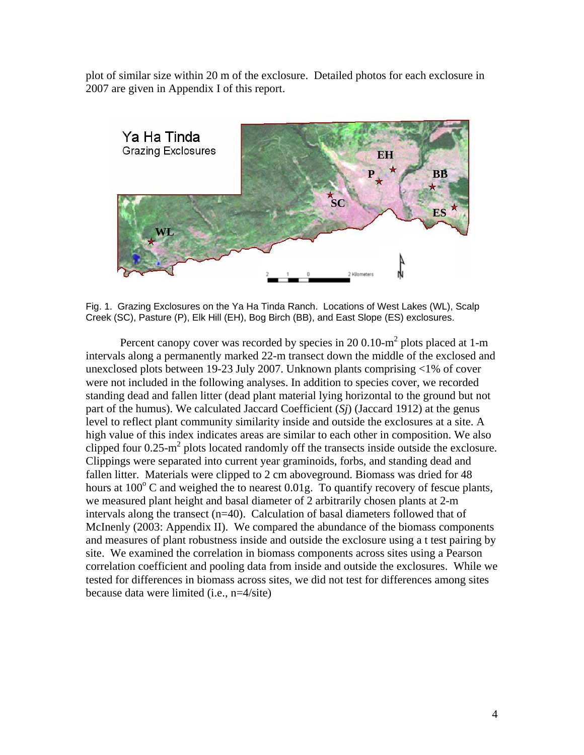plot of similar size within 20 m of the exclosure. Detailed photos for each exclosure in 2007 are given in Appendix I of this report.



Fig. 1. Grazing Exclosures on the Ya Ha Tinda Ranch. Locations of West Lakes (WL), Scalp Creek (SC), Pasture (P), Elk Hill (EH), Bog Birch (BB), and East Slope (ES) exclosures.

Percent canopy cover was recorded by species in 20 0.10- $m^2$  plots placed at 1-m intervals along a permanently marked 22-m transect down the middle of the exclosed and unexclosed plots between 19-23 July 2007. Unknown plants comprising <1% of cover were not included in the following analyses. In addition to species cover, we recorded standing dead and fallen litter (dead plant material lying horizontal to the ground but not part of the humus). We calculated Jaccard Coefficient (*Sj*) (Jaccard 1912) at the genus level to reflect plant community similarity inside and outside the exclosures at a site. A high value of this index indicates areas are similar to each other in composition. We also clipped four  $0.25 \text{-} m^2$  plots located randomly off the transects inside outside the exclosure. Clippings were separated into current year graminoids, forbs, and standing dead and fallen litter. Materials were clipped to 2 cm aboveground. Biomass was dried for 48 hours at  $100^{\circ}$  C and weighed the to nearest 0.01g. To quantify recovery of fescue plants, we measured plant height and basal diameter of 2 arbitrarily chosen plants at 2-m intervals along the transect (n=40). Calculation of basal diameters followed that of McInenly (2003: Appendix II). We compared the abundance of the biomass components and measures of plant robustness inside and outside the exclosure using a t test pairing by site. We examined the correlation in biomass components across sites using a Pearson correlation coefficient and pooling data from inside and outside the exclosures. While we tested for differences in biomass across sites, we did not test for differences among sites because data were limited (i.e., n=4/site)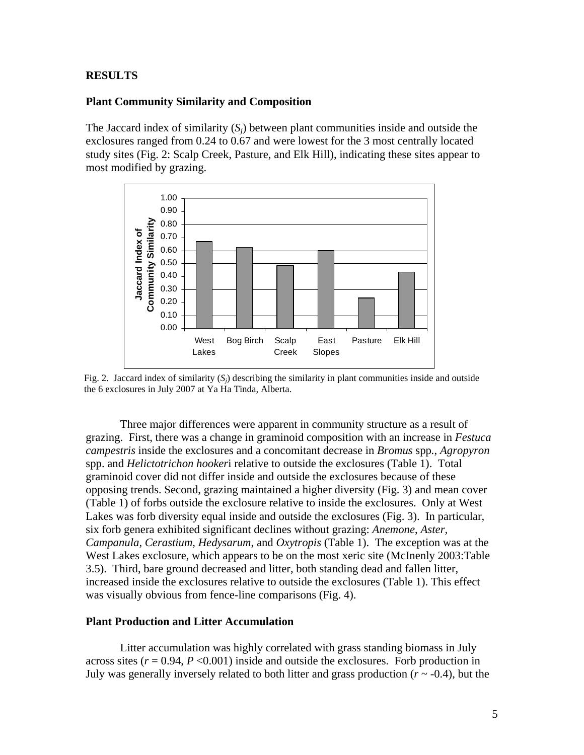#### **RESULTS**

#### **Plant Community Similarity and Composition**

The Jaccard index of similarity  $(S_i)$  between plant communities inside and outside the exclosures ranged from 0.24 to 0.67 and were lowest for the 3 most centrally located study sites (Fig. 2: Scalp Creek, Pasture, and Elk Hill), indicating these sites appear to most modified by grazing.



Fig. 2. Jaccard index of similarity  $(S_i)$  describing the similarity in plant communities inside and outside the 6 exclosures in July 2007 at Ya Ha Tinda, Alberta.

 Three major differences were apparent in community structure as a result of grazing. First, there was a change in graminoid composition with an increase in *Festuca campestris* inside the exclosures and a concomitant decrease in *Bromus* spp*.*, *Agropyron* spp. and *Helictotrichon hooker*i relative to outside the exclosures (Table 1). Total graminoid cover did not differ inside and outside the exclosures because of these opposing trends. Second, grazing maintained a higher diversity (Fig. 3) and mean cover (Table 1) of forbs outside the exclosure relative to inside the exclosures. Only at West Lakes was forb diversity equal inside and outside the exclosures (Fig. 3). In particular, six forb genera exhibited significant declines without grazing: *Anemone*, *Aster, Campanula, Cerastium, Hedysarum*, and *Oxytropis* (Table 1). The exception was at the West Lakes exclosure, which appears to be on the most xeric site (McInenly 2003:Table 3.5). Third, bare ground decreased and litter, both standing dead and fallen litter, increased inside the exclosures relative to outside the exclosures (Table 1). This effect was visually obvious from fence-line comparisons (Fig. 4).

#### **Plant Production and Litter Accumulation**

Litter accumulation was highly correlated with grass standing biomass in July across sites  $(r = 0.94, P \le 0.001)$  inside and outside the exclosures. Forb production in July was generally inversely related to both litter and grass production  $(r \sim -0.4)$ , but the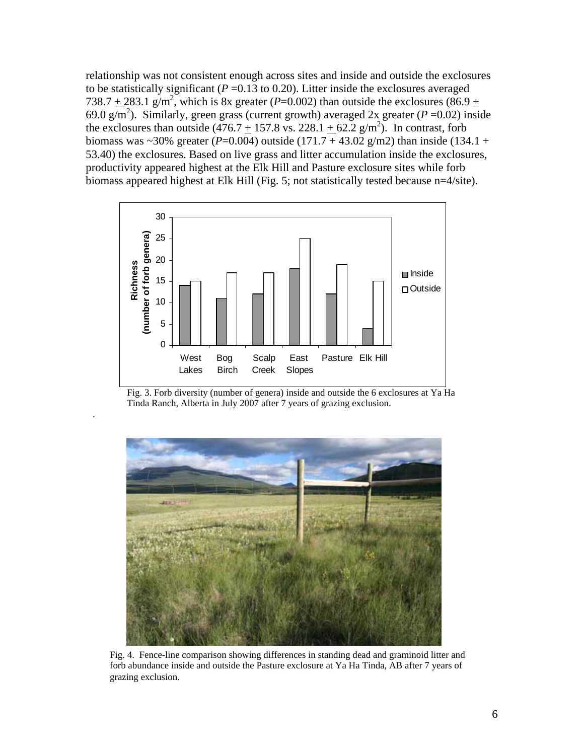relationship was not consistent enough across sites and inside and outside the exclosures to be statistically significant ( $P = 0.13$  to 0.20). Litter inside the exclosures averaged 738.7  $\pm$  283.1 g/m<sup>2</sup>, which is 8x greater (*P*=0.002) than outside the exclosures (86.9  $\pm$ 69.0  $g/m^2$ ). Similarly, green grass (current growth) averaged 2x greater ( $P = 0.02$ ) inside the exclosures than outside  $(476.7 + 157.8 \text{ vs. } 228.1 + 62.2 \text{ g/m}^2)$ . In contrast, forb biomass was  $\sim$ 30% greater (*P*=0.004) outside (171.7 + 43.02 g/m2) than inside (134.1 + 53.40) the exclosures. Based on live grass and litter accumulation inside the exclosures, productivity appeared highest at the Elk Hill and Pasture exclosure sites while forb biomass appeared highest at Elk Hill (Fig. 5; not statistically tested because n=4/site).



Fig. 3. Forb diversity (number of genera) inside and outside the 6 exclosures at Ya Ha Tinda Ranch, Alberta in July 2007 after 7 years of grazing exclusion.

.



Fig. 4. Fence-line comparison showing differences in standing dead and graminoid litter and forb abundance inside and outside the Pasture exclosure at Ya Ha Tinda, AB after 7 years of grazing exclusion.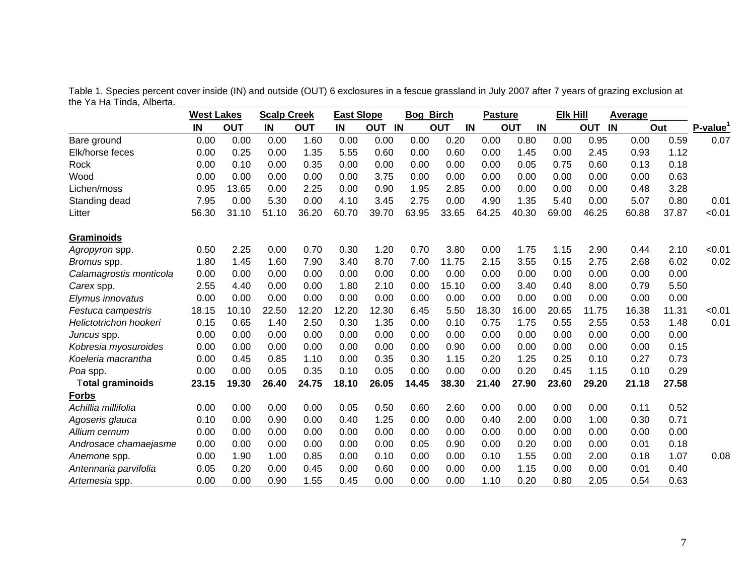Table 1. Species percent cover inside (IN) and outside (OUT) 6 exclosures in a fescue grassland in July 2007 after 7 years of grazing exclusion at the Ya Ha Tinda, Alberta.

|                         | <b>West Lakes</b> |            | <b>Scalp Creek</b> |            | <b>East Slope</b> |        | <b>Bog Birch</b> |                  | <b>Pasture</b> |                  |       | <b>Elk Hill</b>  |       | <b>Average</b> |                         |
|-------------------------|-------------------|------------|--------------------|------------|-------------------|--------|------------------|------------------|----------------|------------------|-------|------------------|-------|----------------|-------------------------|
|                         | IN                | <b>OUT</b> | IN                 | <b>OUT</b> | IN                | OUT IN |                  | IN<br><b>OUT</b> |                | IN<br><b>OUT</b> |       | IN<br><b>OUT</b> |       | Out            | $P$ -value <sup>1</sup> |
| Bare ground             | 0.00              | 0.00       | 0.00               | 1.60       | 0.00              | 0.00   | 0.00             | 0.20             | 0.00           | 0.80             | 0.00  | 0.95             | 0.00  | 0.59           | 0.07                    |
| Elk/horse feces         | 0.00              | 0.25       | 0.00               | 1.35       | 5.55              | 0.60   | 0.00             | 0.60             | 0.00           | 1.45             | 0.00  | 2.45             | 0.93  | 1.12           |                         |
| Rock                    | 0.00              | 0.10       | 0.00               | 0.35       | 0.00              | 0.00   | 0.00             | 0.00             | 0.00           | 0.05             | 0.75  | 0.60             | 0.13  | 0.18           |                         |
| Wood                    | 0.00              | 0.00       | 0.00               | 0.00       | 0.00              | 3.75   | 0.00             | 0.00             | 0.00           | 0.00             | 0.00  | 0.00             | 0.00  | 0.63           |                         |
| Lichen/moss             | 0.95              | 13.65      | 0.00               | 2.25       | 0.00              | 0.90   | 1.95             | 2.85             | 0.00           | 0.00             | 0.00  | 0.00             | 0.48  | 3.28           |                         |
| Standing dead           | 7.95              | 0.00       | 5.30               | 0.00       | 4.10              | 3.45   | 2.75             | 0.00             | 4.90           | 1.35             | 5.40  | 0.00             | 5.07  | 0.80           | 0.01                    |
| Litter                  | 56.30             | 31.10      | 51.10              | 36.20      | 60.70             | 39.70  | 63.95            | 33.65            | 64.25          | 40.30            | 69.00 | 46.25            | 60.88 | 37.87          | < 0.01                  |
| <b>Graminoids</b>       |                   |            |                    |            |                   |        |                  |                  |                |                  |       |                  |       |                |                         |
| Agropyron spp.          | 0.50              | 2.25       | 0.00               | 0.70       | 0.30              | 1.20   | 0.70             | 3.80             | 0.00           | 1.75             | 1.15  | 2.90             | 0.44  | 2.10           | < 0.01                  |
| Bromus spp.             | 1.80              | 1.45       | 1.60               | 7.90       | 3.40              | 8.70   | 7.00             | 11.75            | 2.15           | 3.55             | 0.15  | 2.75             | 2.68  | 6.02           | 0.02                    |
| Calamagrostis monticola | 0.00              | 0.00       | 0.00               | 0.00       | 0.00              | 0.00   | 0.00             | 0.00             | 0.00           | 0.00             | 0.00  | 0.00             | 0.00  | 0.00           |                         |
| Carex spp.              | 2.55              | 4.40       | 0.00               | 0.00       | 1.80              | 2.10   | 0.00             | 15.10            | 0.00           | 3.40             | 0.40  | 8.00             | 0.79  | 5.50           |                         |
| Elymus innovatus        | 0.00              | 0.00       | 0.00               | 0.00       | 0.00              | 0.00   | 0.00             | 0.00             | 0.00           | 0.00             | 0.00  | 0.00             | 0.00  | 0.00           |                         |
| Festuca campestris      | 18.15             | 10.10      | 22.50              | 12.20      | 12.20             | 12.30  | 6.45             | 5.50             | 18.30          | 16.00            | 20.65 | 11.75            | 16.38 | 11.31          | < 0.01                  |
| Helictotrichon hookeri  | 0.15              | 0.65       | 1.40               | 2.50       | 0.30              | 1.35   | 0.00             | 0.10             | 0.75           | 1.75             | 0.55  | 2.55             | 0.53  | 1.48           | 0.01                    |
| Juncus spp.             | 0.00              | 0.00       | 0.00               | 0.00       | 0.00              | 0.00   | 0.00             | 0.00             | 0.00           | 0.00             | 0.00  | 0.00             | 0.00  | 0.00           |                         |
| Kobresia myosuroides    | 0.00              | 0.00       | 0.00               | 0.00       | 0.00              | 0.00   | 0.00             | 0.90             | 0.00           | 0.00             | 0.00  | 0.00             | 0.00  | 0.15           |                         |
| Koeleria macrantha      | 0.00              | 0.45       | 0.85               | 1.10       | 0.00              | 0.35   | 0.30             | 1.15             | 0.20           | 1.25             | 0.25  | 0.10             | 0.27  | 0.73           |                         |
| Poa spp.                | 0.00              | 0.00       | 0.05               | 0.35       | 0.10              | 0.05   | 0.00             | 0.00             | 0.00           | 0.20             | 0.45  | 1.15             | 0.10  | 0.29           |                         |
| Total graminoids        | 23.15             | 19.30      | 26.40              | 24.75      | 18.10             | 26.05  | 14.45            | 38.30            | 21.40          | 27.90            | 23.60 | 29.20            | 21.18 | 27.58          |                         |
| <b>Forbs</b>            |                   |            |                    |            |                   |        |                  |                  |                |                  |       |                  |       |                |                         |
| Achillia millifolia     | 0.00              | 0.00       | 0.00               | 0.00       | 0.05              | 0.50   | 0.60             | 2.60             | 0.00           | 0.00             | 0.00  | 0.00             | 0.11  | 0.52           |                         |
| Agoseris glauca         | 0.10              | 0.00       | 0.90               | 0.00       | 0.40              | 1.25   | 0.00             | 0.00             | 0.40           | 2.00             | 0.00  | 1.00             | 0.30  | 0.71           |                         |
| Allium cernum           | 0.00              | 0.00       | 0.00               | 0.00       | 0.00              | 0.00   | 0.00             | 0.00             | 0.00           | 0.00             | 0.00  | 0.00             | 0.00  | 0.00           |                         |
| Androsace chamaejasme   | 0.00              | 0.00       | 0.00               | 0.00       | 0.00              | 0.00   | 0.05             | 0.90             | 0.00           | 0.20             | 0.00  | 0.00             | 0.01  | 0.18           |                         |
| Anemone spp.            | 0.00              | 1.90       | 1.00               | 0.85       | 0.00              | 0.10   | 0.00             | 0.00             | 0.10           | 1.55             | 0.00  | 2.00             | 0.18  | 1.07           | 0.08                    |
| Antennaria parvifolia   | 0.05              | 0.20       | 0.00               | 0.45       | 0.00              | 0.60   | 0.00             | 0.00             | 0.00           | 1.15             | 0.00  | 0.00             | 0.01  | 0.40           |                         |
| Artemesia spp.          | 0.00              | 0.00       | 0.90               | 1.55       | 0.45              | 0.00   | 0.00             | 0.00             | 1.10           | 0.20             | 0.80  | 2.05             | 0.54  | 0.63           |                         |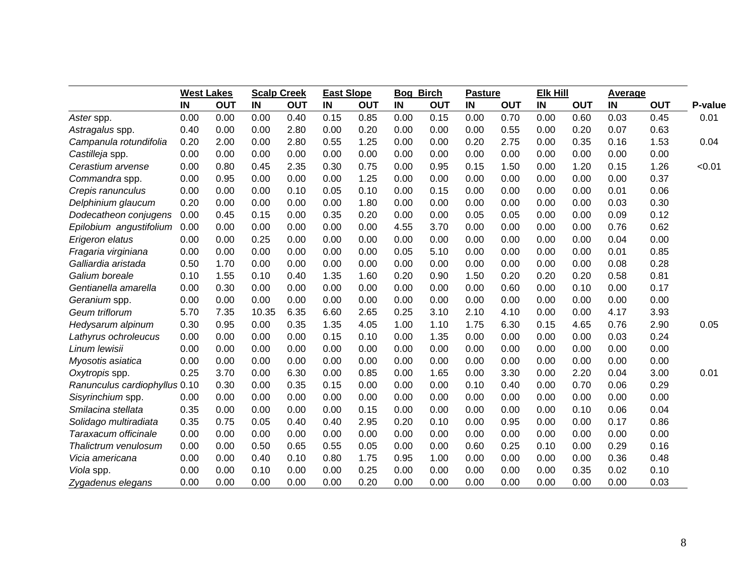|                               | <b>West Lakes</b> |            | <b>Scalp Creek</b> |            | <b>East Slope</b> |            | <b>Bog Birch</b> |            | <b>Pasture</b> |            | <b>Elk Hill</b> |            | <b>Average</b> |            |         |
|-------------------------------|-------------------|------------|--------------------|------------|-------------------|------------|------------------|------------|----------------|------------|-----------------|------------|----------------|------------|---------|
|                               | IN                | <b>OUT</b> | IN                 | <b>OUT</b> | IN                | <b>OUT</b> | IN               | <b>OUT</b> | IN             | <b>OUT</b> | IN              | <b>OUT</b> | IN             | <b>OUT</b> | P-value |
| Aster spp.                    | 0.00              | 0.00       | 0.00               | 0.40       | 0.15              | 0.85       | 0.00             | 0.15       | 0.00           | 0.70       | 0.00            | 0.60       | 0.03           | 0.45       | 0.01    |
| Astragalus spp.               | 0.40              | 0.00       | 0.00               | 2.80       | 0.00              | 0.20       | 0.00             | 0.00       | 0.00           | 0.55       | 0.00            | 0.20       | 0.07           | 0.63       |         |
| Campanula rotundifolia        | 0.20              | 2.00       | 0.00               | 2.80       | 0.55              | 1.25       | 0.00             | 0.00       | 0.20           | 2.75       | 0.00            | 0.35       | 0.16           | 1.53       | 0.04    |
| Castilleja spp.               | 0.00              | 0.00       | 0.00               | 0.00       | 0.00              | 0.00       | 0.00             | 0.00       | 0.00           | 0.00       | 0.00            | 0.00       | 0.00           | 0.00       |         |
| Cerastium arvense             | 0.00              | 0.80       | 0.45               | 2.35       | 0.30              | 0.75       | 0.00             | 0.95       | 0.15           | 1.50       | 0.00            | 1.20       | 0.15           | 1.26       | < 0.01  |
| Commandra spp.                | 0.00              | 0.95       | 0.00               | 0.00       | 0.00              | 1.25       | 0.00             | 0.00       | 0.00           | 0.00       | 0.00            | 0.00       | 0.00           | 0.37       |         |
| Crepis ranunculus             | 0.00              | 0.00       | 0.00               | 0.10       | 0.05              | 0.10       | 0.00             | 0.15       | 0.00           | 0.00       | 0.00            | 0.00       | 0.01           | 0.06       |         |
| Delphinium glaucum            | 0.20              | 0.00       | 0.00               | 0.00       | 0.00              | 1.80       | 0.00             | 0.00       | 0.00           | 0.00       | 0.00            | 0.00       | 0.03           | 0.30       |         |
| Dodecatheon conjugens         | 0.00              | 0.45       | 0.15               | 0.00       | 0.35              | 0.20       | 0.00             | 0.00       | 0.05           | 0.05       | 0.00            | 0.00       | 0.09           | 0.12       |         |
| Epilobium angustifolium       | 0.00              | 0.00       | 0.00               | 0.00       | 0.00              | 0.00       | 4.55             | 3.70       | 0.00           | 0.00       | 0.00            | 0.00       | 0.76           | 0.62       |         |
| Erigeron elatus               | 0.00              | 0.00       | 0.25               | 0.00       | 0.00              | 0.00       | 0.00             | 0.00       | 0.00           | 0.00       | 0.00            | 0.00       | 0.04           | 0.00       |         |
| Fragaria virginiana           | 0.00              | 0.00       | 0.00               | 0.00       | 0.00              | 0.00       | 0.05             | 5.10       | 0.00           | 0.00       | 0.00            | 0.00       | 0.01           | 0.85       |         |
| Galliardia aristada           | 0.50              | 1.70       | 0.00               | 0.00       | 0.00              | 0.00       | 0.00             | 0.00       | 0.00           | 0.00       | 0.00            | 0.00       | 0.08           | 0.28       |         |
| Galium boreale                | 0.10              | 1.55       | 0.10               | 0.40       | 1.35              | 1.60       | 0.20             | 0.90       | 1.50           | 0.20       | 0.20            | 0.20       | 0.58           | 0.81       |         |
| Gentianella amarella          | 0.00              | 0.30       | 0.00               | 0.00       | 0.00              | 0.00       | 0.00             | 0.00       | 0.00           | 0.60       | 0.00            | 0.10       | 0.00           | 0.17       |         |
| Geranium spp.                 | 0.00              | 0.00       | 0.00               | 0.00       | 0.00              | 0.00       | 0.00             | 0.00       | 0.00           | 0.00       | 0.00            | 0.00       | 0.00           | 0.00       |         |
| Geum triflorum                | 5.70              | 7.35       | 10.35              | 6.35       | 6.60              | 2.65       | 0.25             | 3.10       | 2.10           | 4.10       | 0.00            | 0.00       | 4.17           | 3.93       |         |
| Hedysarum alpinum             | 0.30              | 0.95       | 0.00               | 0.35       | 1.35              | 4.05       | 1.00             | 1.10       | 1.75           | 6.30       | 0.15            | 4.65       | 0.76           | 2.90       | 0.05    |
| Lathyrus ochroleucus          | 0.00              | 0.00       | 0.00               | 0.00       | 0.15              | 0.10       | 0.00             | 1.35       | 0.00           | 0.00       | 0.00            | 0.00       | 0.03           | 0.24       |         |
| Linum lewisii                 | 0.00              | 0.00       | 0.00               | 0.00       | 0.00              | 0.00       | 0.00             | 0.00       | 0.00           | 0.00       | 0.00            | 0.00       | 0.00           | 0.00       |         |
| Myosotis asiatica             | 0.00              | 0.00       | 0.00               | 0.00       | 0.00              | 0.00       | 0.00             | 0.00       | 0.00           | 0.00       | 0.00            | 0.00       | 0.00           | 0.00       |         |
| Oxytropis spp.                | 0.25              | 3.70       | 0.00               | 6.30       | 0.00              | 0.85       | 0.00             | 1.65       | 0.00           | 3.30       | 0.00            | 2.20       | 0.04           | 3.00       | 0.01    |
| Ranunculus cardiophyllus 0.10 |                   | 0.30       | 0.00               | 0.35       | 0.15              | 0.00       | 0.00             | 0.00       | 0.10           | 0.40       | 0.00            | 0.70       | 0.06           | 0.29       |         |
| Sisyrinchium spp.             | 0.00              | 0.00       | 0.00               | 0.00       | 0.00              | 0.00       | 0.00             | 0.00       | 0.00           | 0.00       | 0.00            | 0.00       | 0.00           | 0.00       |         |
| Smilacina stellata            | 0.35              | 0.00       | 0.00               | 0.00       | 0.00              | 0.15       | 0.00             | 0.00       | 0.00           | 0.00       | 0.00            | 0.10       | 0.06           | 0.04       |         |
| Solidago multiradiata         | 0.35              | 0.75       | 0.05               | 0.40       | 0.40              | 2.95       | 0.20             | 0.10       | 0.00           | 0.95       | 0.00            | 0.00       | 0.17           | 0.86       |         |
| Taraxacum officinale          | 0.00              | 0.00       | 0.00               | 0.00       | 0.00              | 0.00       | 0.00             | 0.00       | 0.00           | 0.00       | 0.00            | 0.00       | 0.00           | 0.00       |         |
| Thalictrum venulosum          | 0.00              | 0.00       | 0.50               | 0.65       | 0.55              | 0.05       | 0.00             | 0.00       | 0.60           | 0.25       | 0.10            | 0.00       | 0.29           | 0.16       |         |
| Vicia americana               | 0.00              | 0.00       | 0.40               | 0.10       | 0.80              | 1.75       | 0.95             | 1.00       | 0.00           | 0.00       | 0.00            | 0.00       | 0.36           | 0.48       |         |
| Viola spp.                    | 0.00              | 0.00       | 0.10               | 0.00       | 0.00              | 0.25       | 0.00             | 0.00       | 0.00           | 0.00       | 0.00            | 0.35       | 0.02           | 0.10       |         |
| Zygadenus elegans             | 0.00              | 0.00       | 0.00               | 0.00       | 0.00              | 0.20       | 0.00             | 0.00       | 0.00           | 0.00       | 0.00            | 0.00       | 0.00           | 0.03       |         |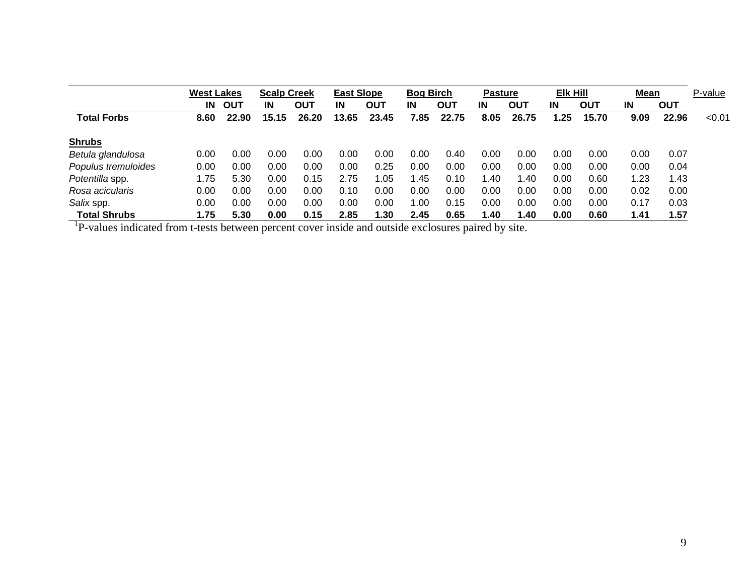|                     |      | <b>West Lakes</b> |       | <b>Scalp Creek</b> |       | <b>East Slope</b> |      | <b>Bog Birch</b> |      | <b>Pasture</b> |      | Elk Hill |      | <b>Mean</b> |        |
|---------------------|------|-------------------|-------|--------------------|-------|-------------------|------|------------------|------|----------------|------|----------|------|-------------|--------|
|                     | IN   | <b>OUT</b>        | IN    | <b>OUT</b>         | IN    | <b>OUT</b>        | IN   | OUT              | IN   | OUT            | IN   | OUT      | IN   | OUT         |        |
| <b>Total Forbs</b>  | 8.60 | 22.90             | 15.15 | 26.20              | 13.65 | 23.45             | 7.85 | 22.75            | 8.05 | 26.75          | 1.25 | 15.70    | 9.09 | 22.96       | < 0.01 |
| <b>Shrubs</b>       |      |                   |       |                    |       |                   |      |                  |      |                |      |          |      |             |        |
| Betula glandulosa   | 0.00 | 0.00              | 0.00  | 0.00               | 0.00  | 0.00              | 0.00 | 0.40             | 0.00 | 0.00           | 0.00 | 0.00     | 0.00 | 0.07        |        |
| Populus tremuloides | 0.00 | 0.00              | 0.00  | 0.00               | 0.00  | 0.25              | 0.00 | 0.00             | 0.00 | 0.00           | 0.00 | 0.00     | 0.00 | 0.04        |        |
| Potentilla spp.     | 1.75 | 5.30              | 0.00  | 0.15               | 2.75  | 1.05              | 1.45 | 0.10             | 1.40 | 1.40           | 0.00 | 0.60     | 1.23 | 1.43        |        |
| Rosa acicularis     | 0.00 | 0.00              | 0.00  | 0.00               | 0.10  | 0.00              | 0.00 | 0.00             | 0.00 | 0.00           | 0.00 | 0.00     | 0.02 | 0.00        |        |
| Salix spp.          | 0.00 | 0.00              | 0.00  | 0.00               | 0.00  | 0.00              | 1.00 | 0.15             | 0.00 | 0.00           | 0.00 | 0.00     | 0.17 | 0.03        |        |
| <b>Total Shrubs</b> | 1.75 | 5.30              | 0.00  | 0.15               | 2.85  | 1.30              | 2.45 | 0.65             | 1.40 | 1.40           | 0.00 | 0.60     | 1.41 | 1.57        |        |

 ${}^{1}P$ -values indicated from t-tests between percent cover inside and outside exclosures paired by site.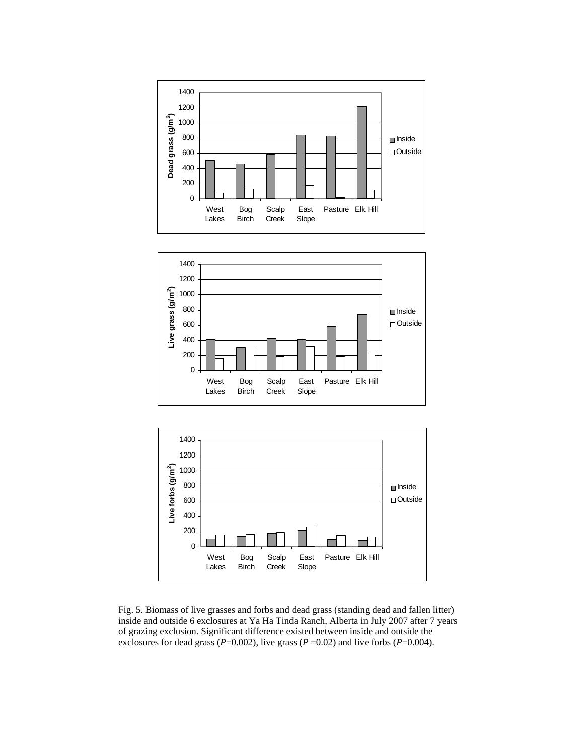





Fig. 5. Biomass of live grasses and forbs and dead grass (standing dead and fallen litter) inside and outside 6 exclosures at Ya Ha Tinda Ranch, Alberta in July 2007 after 7 years of grazing exclusion. Significant difference existed between inside and outside the exclosures for dead grass ( $P=0.002$ ), live grass ( $P=0.02$ ) and live forbs ( $P=0.004$ ).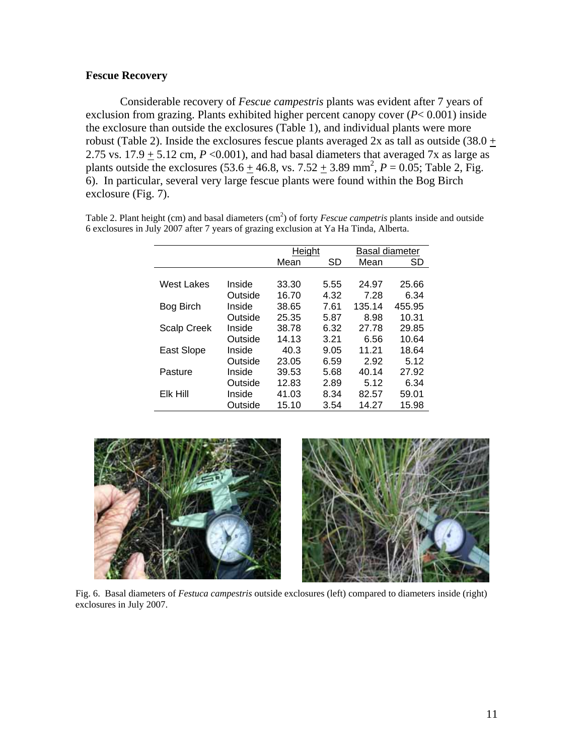#### **Fescue Recovery**

Considerable recovery of *Fescue campestris* plants was evident after 7 years of exclusion from grazing. Plants exhibited higher percent canopy cover (*P*< 0.001) inside the exclosure than outside the exclosures (Table 1), and individual plants were more robust (Table 2). Inside the exclosures fescue plants averaged 2x as tall as outside (38.0  $+$ 2.75 vs.  $17.9 + 5.12$  cm,  $P \le 0.001$ ), and had basal diameters that averaged 7x as large as plants outside the exclosures  $(53.6 \pm 46.8, \text{ vs. } 7.52 \pm 3.89 \text{ mm}^2, P = 0.05; \text{ Table 2, Fig.})$ 6). In particular, several very large fescue plants were found within the Bog Birch exclosure (Fig. 7).

|                    |         | Height |      | Basal diameter |        |  |  |  |  |  |
|--------------------|---------|--------|------|----------------|--------|--|--|--|--|--|
|                    |         | Mean   | SD   | Mean           | SD     |  |  |  |  |  |
|                    |         |        |      |                |        |  |  |  |  |  |
| West Lakes         | Inside  | 33.30  | 5.55 | 24.97          | 25.66  |  |  |  |  |  |
|                    | Outside | 16.70  | 4.32 | 7.28           | 6.34   |  |  |  |  |  |
| Bog Birch          | Inside  | 38.65  | 7.61 | 135.14         | 455.95 |  |  |  |  |  |
|                    | Outside | 25.35  | 5.87 | 8.98           | 10.31  |  |  |  |  |  |
| <b>Scalp Creek</b> | Inside  | 38.78  | 6.32 | 27.78          | 29.85  |  |  |  |  |  |
|                    | Outside | 14.13  | 3.21 | 6.56           | 10.64  |  |  |  |  |  |
| East Slope         | Inside  | 40.3   | 9.05 | 11.21          | 18.64  |  |  |  |  |  |
|                    | Outside | 23.05  | 6.59 | 2.92           | 5.12   |  |  |  |  |  |
| Pasture            | Inside  | 39.53  | 5.68 | 40.14          | 27.92  |  |  |  |  |  |
|                    | Outside | 12.83  | 2.89 | 5.12           | 6.34   |  |  |  |  |  |
| Elk Hill           | Inside  | 41.03  | 8.34 | 82.57          | 59.01  |  |  |  |  |  |
|                    | Outside | 15.10  | 3.54 | 14.27          | 15.98  |  |  |  |  |  |

Table 2. Plant height (cm) and basal diameters (cm<sup>2</sup>) of forty *Fescue campetris* plants inside and outside 6 exclosures in July 2007 after 7 years of grazing exclusion at Ya Ha Tinda, Alberta.





Fig. 6. Basal diameters of *Festuca campestris* outside exclosures (left) compared to diameters inside (right) exclosures in July 2007.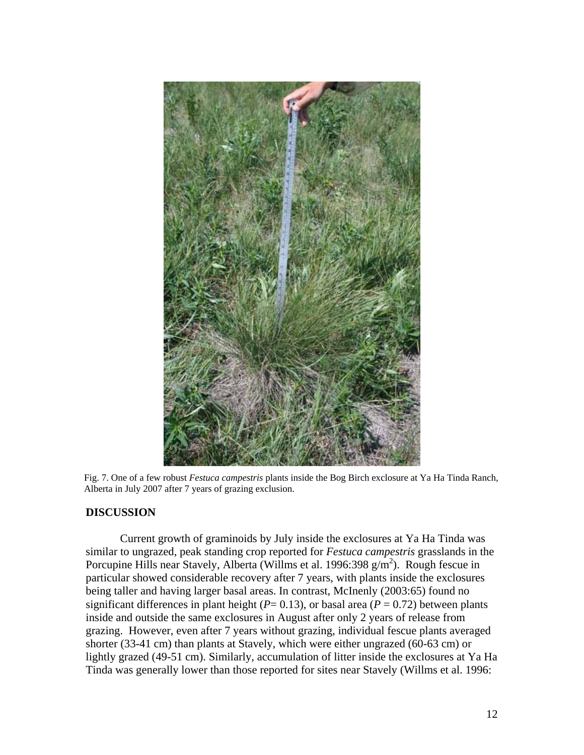

Fig. 7. One of a few robust *Festuca campestris* plants inside the Bog Birch exclosure at Ya Ha Tinda Ranch, Alberta in July 2007 after 7 years of grazing exclusion.

#### **DISCUSSION**

Current growth of graminoids by July inside the exclosures at Ya Ha Tinda was similar to ungrazed, peak standing crop reported for *Festuca campestris* grasslands in the Porcupine Hills near Stavely, Alberta (Willms et al. 1996:398  $g/m<sup>2</sup>$ ). Rough fescue in particular showed considerable recovery after 7 years, with plants inside the exclosures being taller and having larger basal areas. In contrast, McInenly (2003:65) found no significant differences in plant height ( $P= 0.13$ ), or basal area ( $P = 0.72$ ) between plants inside and outside the same exclosures in August after only 2 years of release from grazing. However, even after 7 years without grazing, individual fescue plants averaged shorter (33-41 cm) than plants at Stavely, which were either ungrazed (60-63 cm) or lightly grazed (49-51 cm). Similarly, accumulation of litter inside the exclosures at Ya Ha Tinda was generally lower than those reported for sites near Stavely (Willms et al. 1996: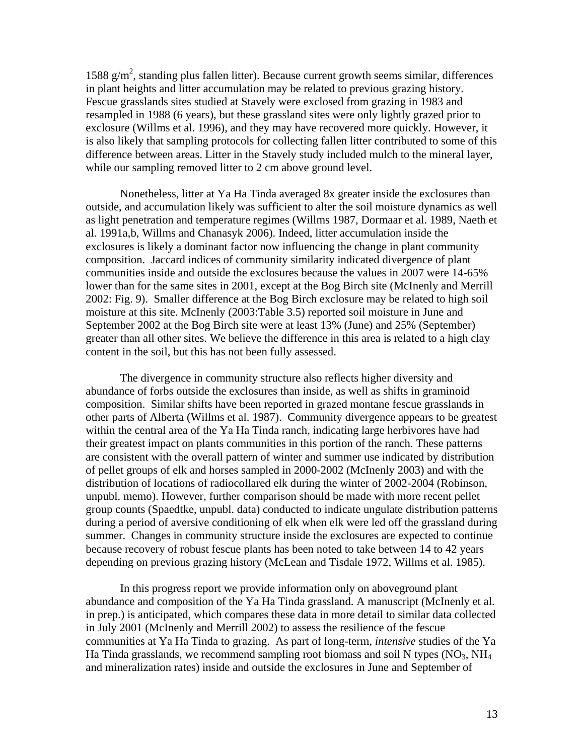1588  $g/m<sup>2</sup>$ , standing plus fallen litter). Because current growth seems similar, differences in plant heights and litter accumulation may be related to previous grazing history. Fescue grasslands sites studied at Stavely were exclosed from grazing in 1983 and resampled in 1988 (6 years), but these grassland sites were only lightly grazed prior to exclosure (Willms et al. 1996), and they may have recovered more quickly. However, it is also likely that sampling protocols for collecting fallen litter contributed to some of this difference between areas. Litter in the Stavely study included mulch to the mineral layer, while our sampling removed litter to 2 cm above ground level.

Nonetheless, litter at Ya Ha Tinda averaged 8x greater inside the exclosures than outside, and accumulation likely was sufficient to alter the soil moisture dynamics as well as light penetration and temperature regimes (Willms 1987, Dormaar et al. 1989, Naeth et al. 1991a,b, Willms and Chanasyk 2006). Indeed, litter accumulation inside the exclosures is likely a dominant factor now influencing the change in plant community composition. Jaccard indices of community similarity indicated divergence of plant communities inside and outside the exclosures because the values in 2007 were 14-65% lower than for the same sites in 2001, except at the Bog Birch site (McInenly and Merrill 2002: Fig. 9). Smaller difference at the Bog Birch exclosure may be related to high soil moisture at this site. McInenly (2003:Table 3.5) reported soil moisture in June and September 2002 at the Bog Birch site were at least 13% (June) and 25% (September) greater than all other sites. We believe the difference in this area is related to a high clay content in the soil, but this has not been fully assessed.

The divergence in community structure also reflects higher diversity and abundance of forbs outside the exclosures than inside, as well as shifts in graminoid composition. Similar shifts have been reported in grazed montane fescue grasslands in other parts of Alberta (Willms et al. 1987). Community divergence appears to be greatest within the central area of the Ya Ha Tinda ranch, indicating large herbivores have had their greatest impact on plants communities in this portion of the ranch. These patterns are consistent with the overall pattern of winter and summer use indicated by distribution of pellet groups of elk and horses sampled in 2000-2002 (McInenly 2003) and with the distribution of locations of radiocollared elk during the winter of 2002-2004 (Robinson, unpubl. memo). However, further comparison should be made with more recent pellet group counts (Spaedtke, unpubl. data) conducted to indicate ungulate distribution patterns during a period of aversive conditioning of elk when elk were led off the grassland during summer. Changes in community structure inside the exclosures are expected to continue because recovery of robust fescue plants has been noted to take between 14 to 42 years depending on previous grazing history (McLean and Tisdale 1972, Willms et al. 1985).

In this progress report we provide information only on aboveground plant abundance and composition of the Ya Ha Tinda grassland. A manuscript (McInenly et al. in prep.) is anticipated, which compares these data in more detail to similar data collected in July 2001 (McInenly and Merrill 2002) to assess the resilience of the fescue communities at Ya Ha Tinda to grazing. As part of long-term, *intensive* studies of the Ya Ha Tinda grasslands, we recommend sampling root biomass and soil N types  $(NO<sub>3</sub>, NH<sub>4</sub>)$ and mineralization rates) inside and outside the exclosures in June and September of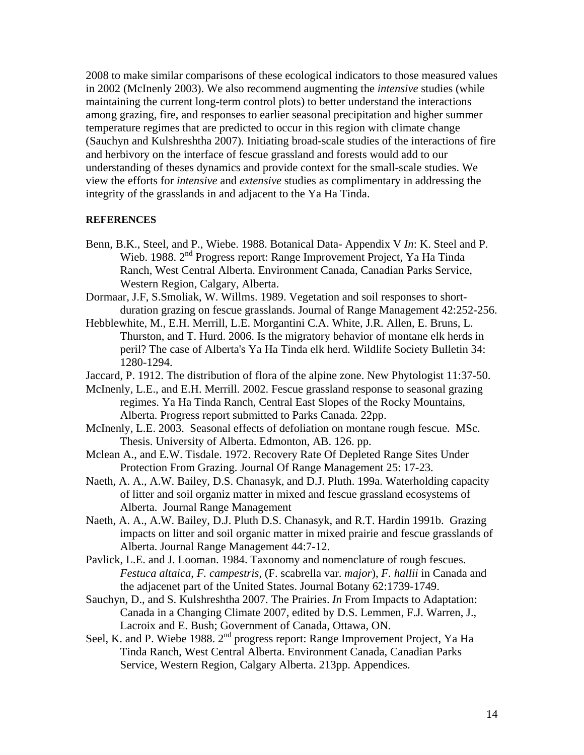2008 to make similar comparisons of these ecological indicators to those measured values in 2002 (McInenly 2003). We also recommend augmenting the *intensive* studies (while maintaining the current long-term control plots) to better understand the interactions among grazing, fire, and responses to earlier seasonal precipitation and higher summer temperature regimes that are predicted to occur in this region with climate change (Sauchyn and Kulshreshtha 2007). Initiating broad-scale studies of the interactions of fire and herbivory on the interface of fescue grassland and forests would add to our understanding of theses dynamics and provide context for the small-scale studies. We view the efforts for *intensive* and *extensive* studies as complimentary in addressing the integrity of the grasslands in and adjacent to the Ya Ha Tinda.

#### **REFERENCES**

- Benn, B.K., Steel, and P., Wiebe. 1988. Botanical Data- Appendix V *In*: K. Steel and P. Wieb. 1988. 2nd Progress report: Range Improvement Project, Ya Ha Tinda Ranch, West Central Alberta. Environment Canada, Canadian Parks Service, Western Region, Calgary, Alberta.
- Dormaar, J.F, S.Smoliak, W. Willms. 1989. Vegetation and soil responses to shortduration grazing on fescue grasslands. Journal of Range Management 42:252-256.
- Hebblewhite, M., E.H. Merrill, L.E. Morgantini C.A. White, J.R. Allen, E. Bruns, L. Thurston, and T. Hurd. 2006. Is the migratory behavior of montane elk herds in peril? The case of Alberta's Ya Ha Tinda elk herd. Wildlife Society Bulletin 34: 1280-1294.
- Jaccard, P. 1912. The distribution of flora of the alpine zone. New Phytologist 11:37-50.
- McInenly, L.E., and E.H. Merrill. 2002. Fescue grassland response to seasonal grazing regimes. Ya Ha Tinda Ranch, Central East Slopes of the Rocky Mountains, Alberta. Progress report submitted to Parks Canada. 22pp.
- McInenly, L.E. 2003. Seasonal effects of defoliation on montane rough fescue. MSc. Thesis. University of Alberta. Edmonton, AB. 126. pp.
- Mclean A., and E.W. Tisdale. 1972. Recovery Rate Of Depleted Range Sites Under Protection From Grazing. Journal Of Range Management 25: 17-23.
- Naeth, A. A., A.W. Bailey, D.S. Chanasyk, and D.J. Pluth. 199a. Waterholding capacity of litter and soil organiz matter in mixed and fescue grassland ecosystems of Alberta. Journal Range Management
- Naeth, A. A., A.W. Bailey, D.J. Pluth D.S. Chanasyk, and R.T. Hardin 1991b. Grazing impacts on litter and soil organic matter in mixed prairie and fescue grasslands of Alberta. Journal Range Management 44:7-12.
- Pavlick, L.E. and J. Looman. 1984. Taxonomy and nomenclature of rough fescues. *Festuca altaica*, *F. campestris*, (F. scabrella var. *major*), *F. hallii* in Canada and the adjacenet part of the United States. Journal Botany 62:1739-1749.
- Sauchyn, D., and S. Kulshreshtha 2007. The Prairies. *In* From Impacts to Adaptation: Canada in a Changing Climate 2007, edited by D.S. Lemmen, F.J. Warren, J., Lacroix and E. Bush; Government of Canada, Ottawa, ON.
- Seel, K. and P. Wiebe 1988. 2<sup>nd</sup> progress report: Range Improvement Project, Ya Ha Tinda Ranch, West Central Alberta. Environment Canada, Canadian Parks Service, Western Region, Calgary Alberta. 213pp. Appendices.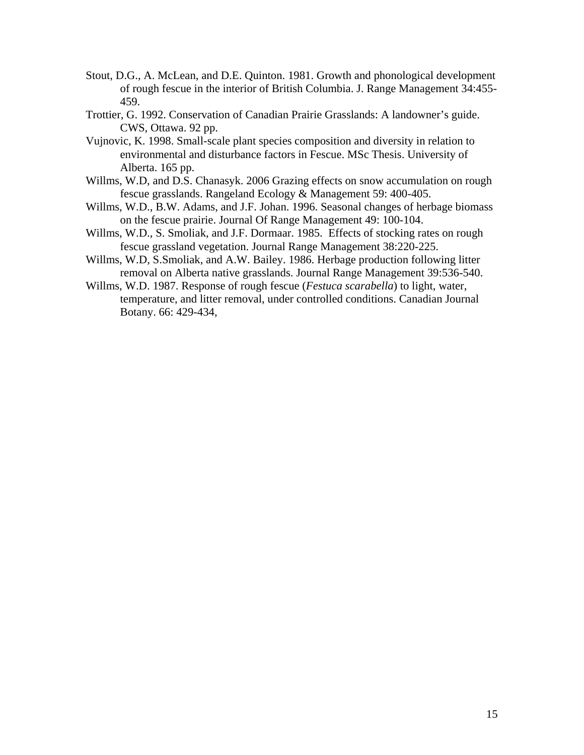- Stout, D.G., A. McLean, and D.E. Quinton. 1981. Growth and phonological development of rough fescue in the interior of British Columbia. J. Range Management 34:455- 459.
- Trottier, G. 1992. Conservation of Canadian Prairie Grasslands: A landowner's guide. CWS, Ottawa. 92 pp.
- Vujnovic, K. 1998. Small-scale plant species composition and diversity in relation to environmental and disturbance factors in Fescue. MSc Thesis. University of Alberta. 165 pp.
- Willms, W.D, and D.S. Chanasyk. 2006 Grazing effects on snow accumulation on rough fescue grasslands. Rangeland Ecology & Management 59: 400-405.
- Willms, W.D., B.W. Adams, and J.F. Johan. 1996. Seasonal changes of herbage biomass on the fescue prairie. Journal Of Range Management 49: 100-104.
- Willms, W.D., S. Smoliak, and J.F. Dormaar. 1985. Effects of stocking rates on rough fescue grassland vegetation. Journal Range Management 38:220-225.
- Willms, W.D, S.Smoliak, and A.W. Bailey. 1986. Herbage production following litter removal on Alberta native grasslands. Journal Range Management 39:536-540.
- Willms, W.D. 1987. Response of rough fescue (*Festuca scarabella*) to light, water, temperature, and litter removal, under controlled conditions. Canadian Journal Botany. 66: 429-434,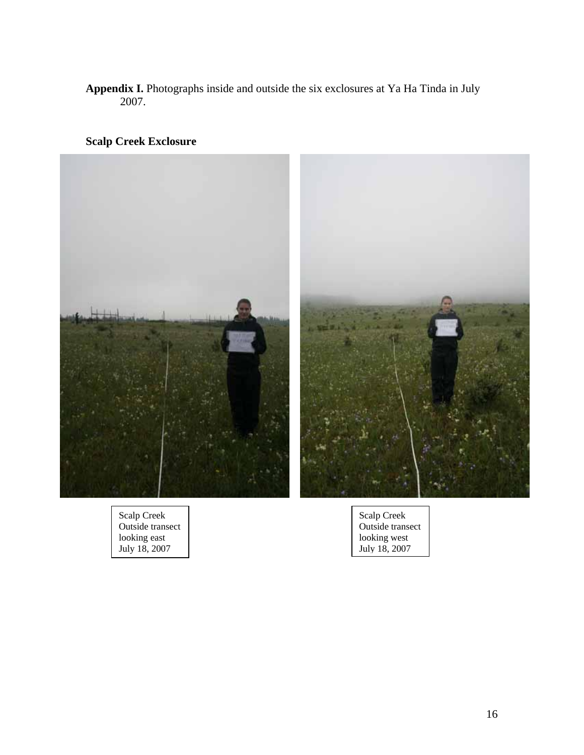## **Appendix I.** Photographs inside and outside the six exclosures at Ya Ha Tinda in July 2007.

## **Scalp Creek Exclosure**



Scalp Creek Outside transect looking east July 18, 2007

Scalp Creek Outside transect looking west July 18, 2007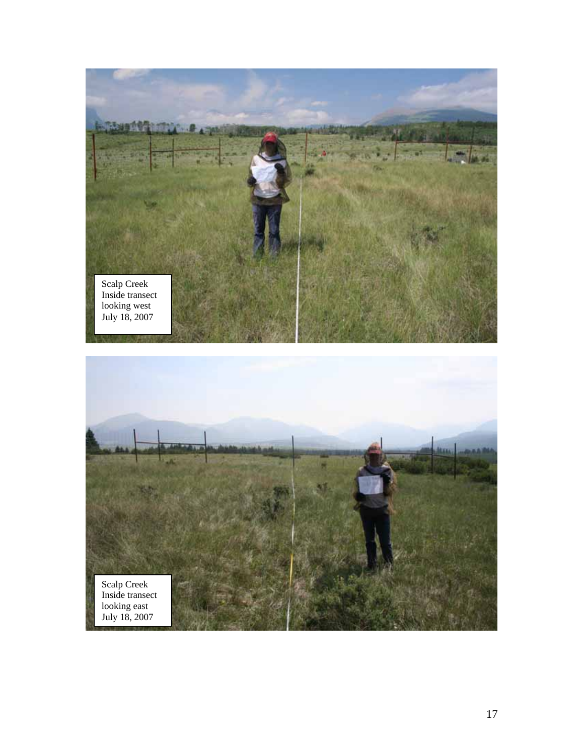

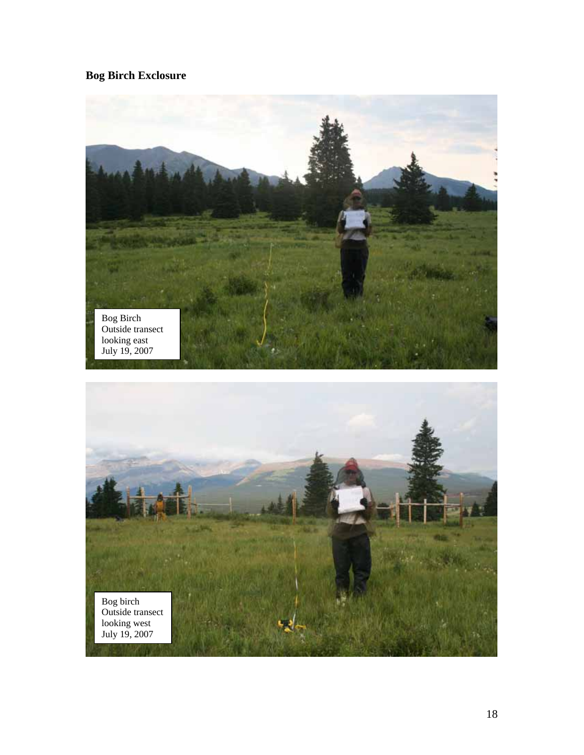# **Bog Birch Exclosure**

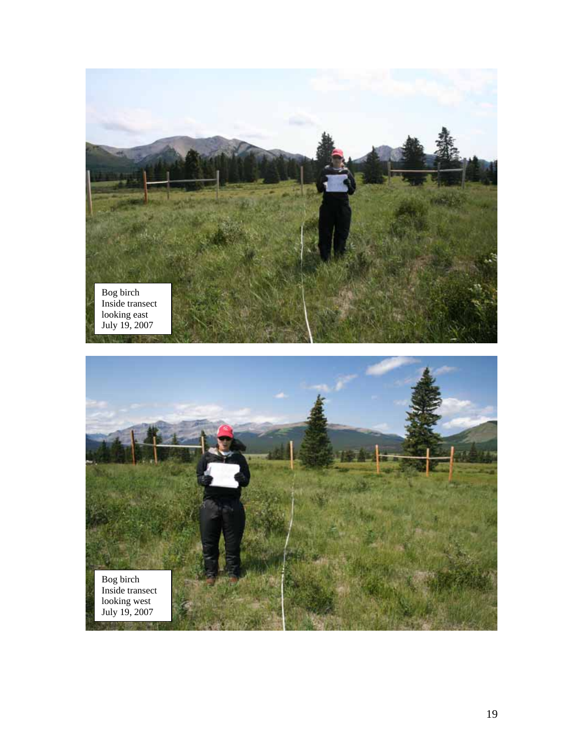

Bog birch Inside transect looking west July 19, 2007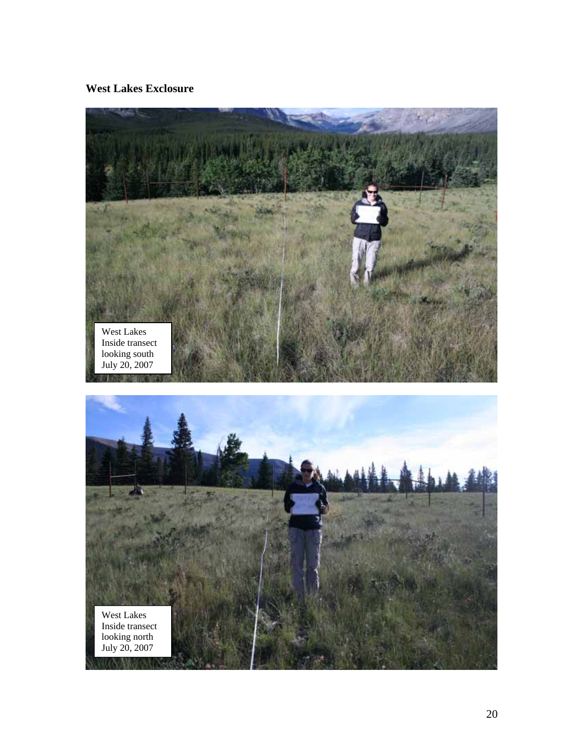**West Lakes Exclosure** 

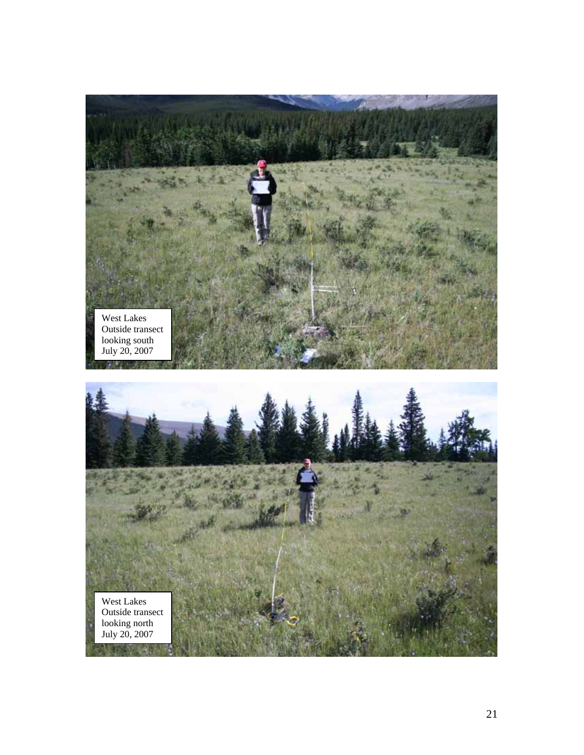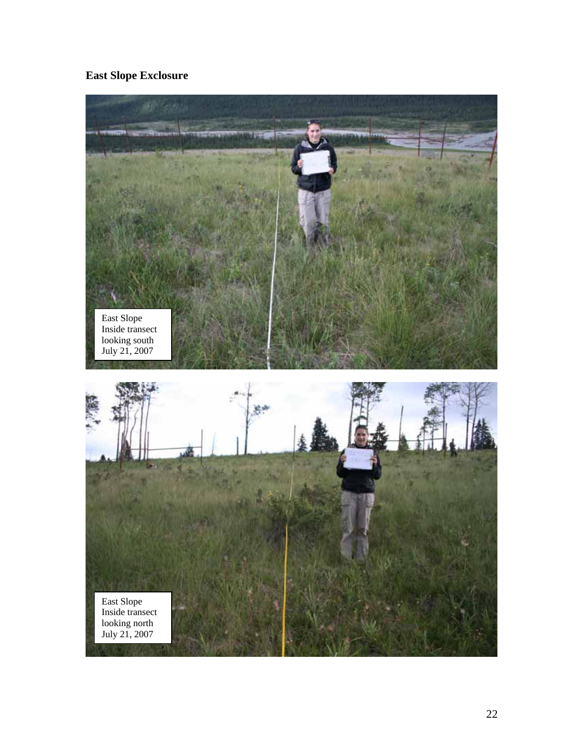**East Slope Exclosure** 

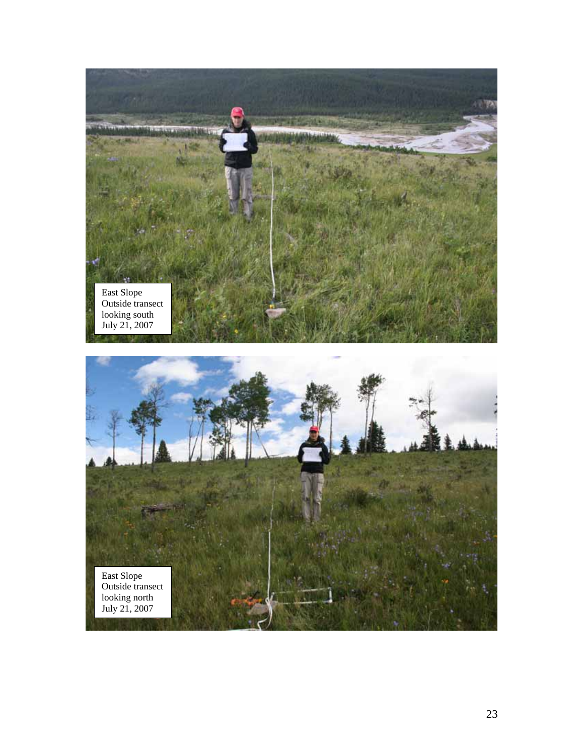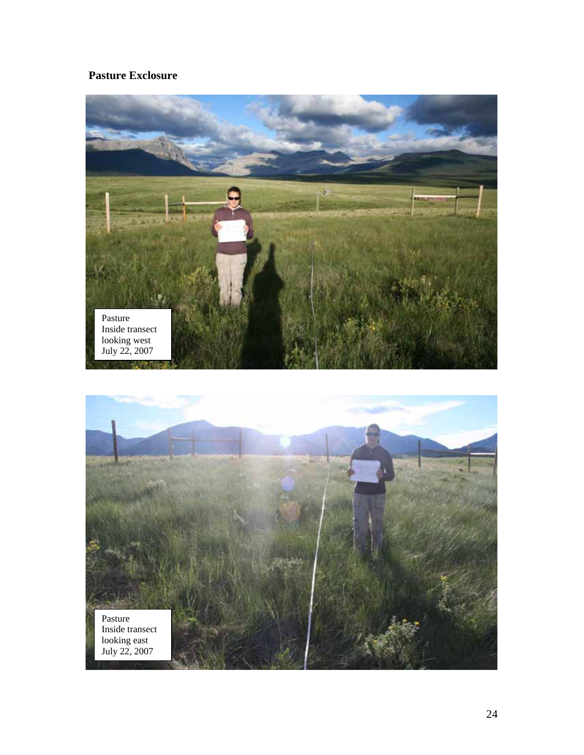# **Pasture Exclosure**

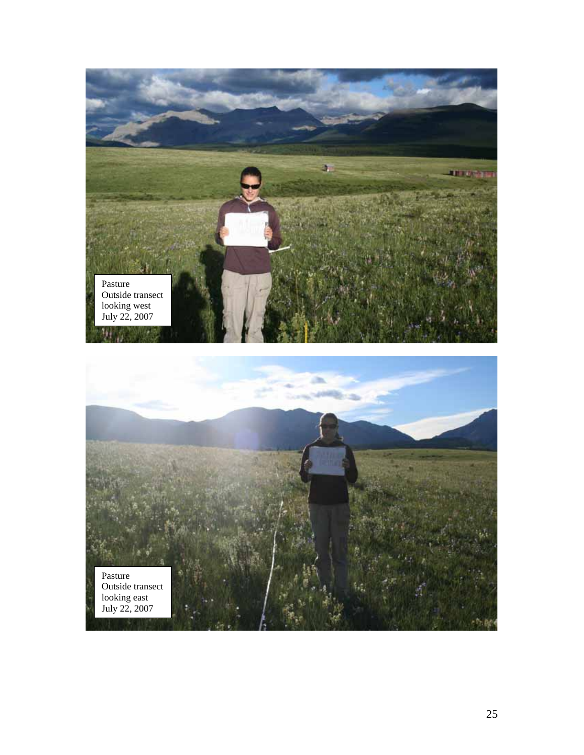

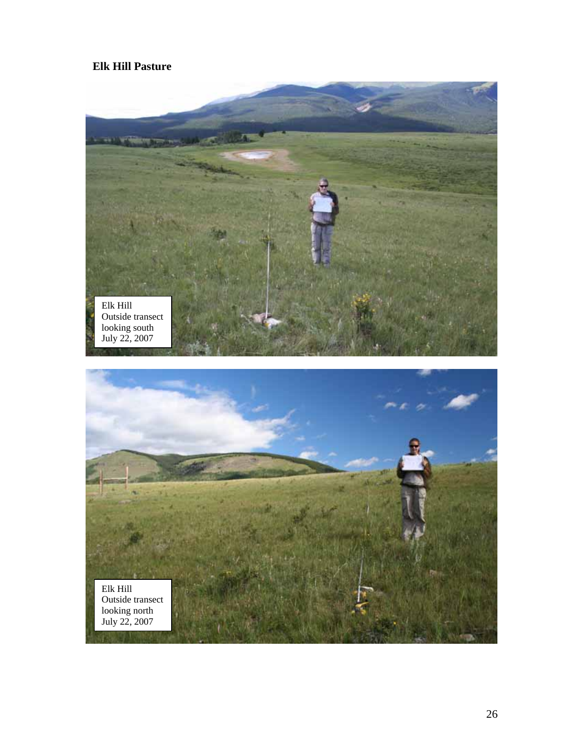## **Elk Hill Pasture**